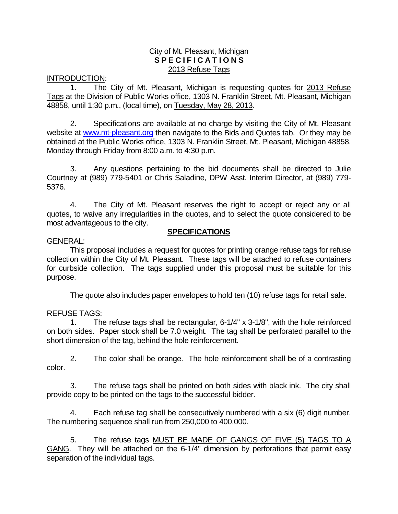### City of Mt. Pleasant, Michigan **S P E C I F I C A T I O N S** 2013 Refuse Tags

#### INTRODUCTION:

1. The City of Mt. Pleasant, Michigan is requesting quotes for 2013 Refuse Tags at the Division of Public Works office, 1303 N. Franklin Street, Mt. Pleasant, Michigan 48858, until 1:30 p.m., (local time), on Tuesday, May 28, 2013.

2. Specifications are available at no charge by visiting the City of Mt. Pleasant website at [www.mt-pleasant.org](http://www.mt-pleasant.org/) then navigate to the Bids and Quotes tab. Or they may be obtained at the Public Works office, 1303 N. Franklin Street, Mt. Pleasant, Michigan 48858, Monday through Friday from 8:00 a.m. to 4:30 p.m.

3. Any questions pertaining to the bid documents shall be directed to Julie Courtney at (989) 779-5401 or Chris Saladine, DPW Asst. Interim Director, at (989) 779- 5376.

4. The City of Mt. Pleasant reserves the right to accept or reject any or all quotes, to waive any irregularities in the quotes, and to select the quote considered to be most advantageous to the city.

### **SPECIFICATIONS**

#### GENERAL:

This proposal includes a request for quotes for printing orange refuse tags for refuse collection within the City of Mt. Pleasant. These tags will be attached to refuse containers for curbside collection. The tags supplied under this proposal must be suitable for this purpose.

The quote also includes paper envelopes to hold ten (10) refuse tags for retail sale.

# REFUSE TAGS:

1. The refuse tags shall be rectangular, 6-1/4" x 3-1/8", with the hole reinforced on both sides. Paper stock shall be 7.0 weight. The tag shall be perforated parallel to the short dimension of the tag, behind the hole reinforcement.

2. The color shall be orange. The hole reinforcement shall be of a contrasting color.

3. The refuse tags shall be printed on both sides with black ink. The city shall provide copy to be printed on the tags to the successful bidder.

4. Each refuse tag shall be consecutively numbered with a six (6) digit number. The numbering sequence shall run from 250,000 to 400,000.

5. The refuse tags MUST BE MADE OF GANGS OF FIVE (5) TAGS TO A GANG. They will be attached on the 6-1/4" dimension by perforations that permit easy separation of the individual tags.